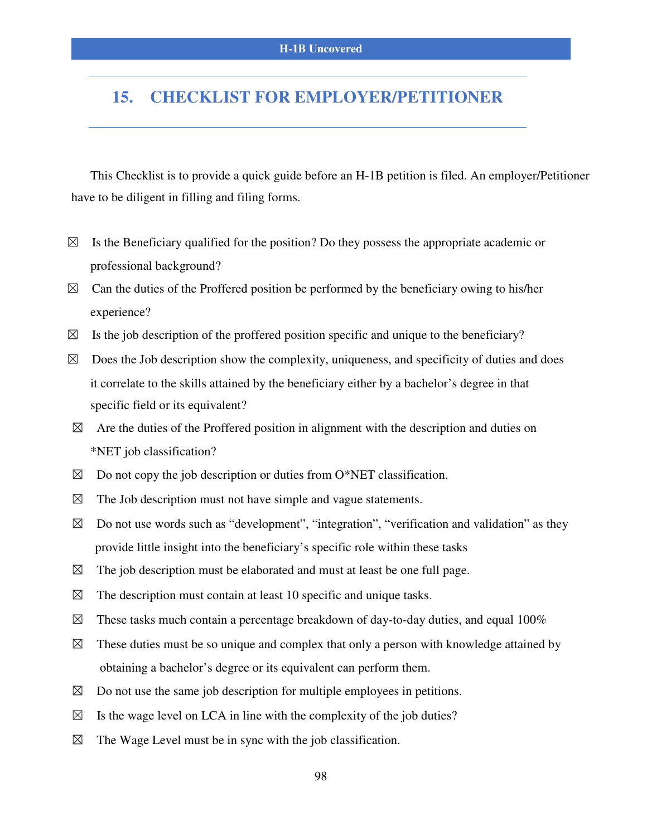# **15. CHECKLIST FOR EMPLOYER/PETITIONER**

This Checklist is to provide a quick guide before an H-1B petition is filed. An employer/Petitioner have to be diligent in filling and filing forms.

- $\boxtimes$  Is the Beneficiary qualified for the position? Do they possess the appropriate academic or professional background?
- $\boxtimes$  Can the duties of the Proffered position be performed by the beneficiary owing to his/her experience?
- $\boxtimes$  Is the job description of the proffered position specific and unique to the beneficiary?
- $\boxtimes$  Does the Job description show the complexity, uniqueness, and specificity of duties and does it correlate to the skills attained by the beneficiary either by a bachelor's degree in that specific field or its equivalent?
- $\boxtimes$  Are the duties of the Proffered position in alignment with the description and duties on \*NET job classification?
- $\boxtimes$  Do not copy the job description or duties from O\*NET classification.
- $\boxtimes$  The Job description must not have simple and vague statements.
- $\boxtimes$  Do not use words such as "development", "integration", "verification and validation" as they provide little insight into the beneficiary's specific role within these tasks
- $\boxtimes$  The job description must be elaborated and must at least be one full page.
- $\boxtimes$  The description must contain at least 10 specific and unique tasks.
- $\boxtimes$  These tasks much contain a percentage breakdown of day-to-day duties, and equal 100%
- $\boxtimes$  These duties must be so unique and complex that only a person with knowledge attained by obtaining a bachelor's degree or its equivalent can perform them.
- $\boxtimes$  Do not use the same job description for multiple employees in petitions.
- $\boxtimes$  Is the wage level on LCA in line with the complexity of the job duties?
- $\boxtimes$  The Wage Level must be in sync with the job classification.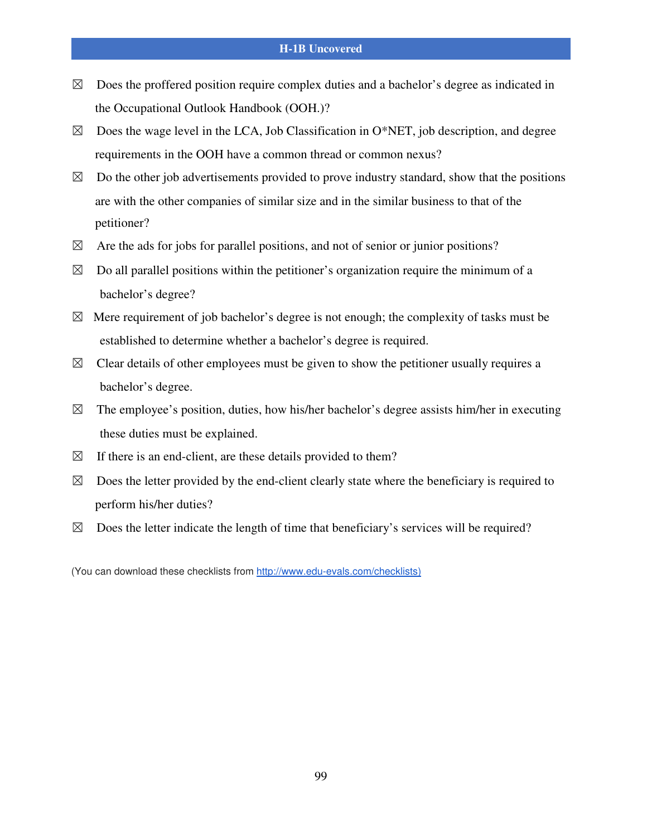- $\boxtimes$  Does the proffered position require complex duties and a bachelor's degree as indicated in the Occupational Outlook Handbook (OOH.)?
- $\boxtimes$  Does the wage level in the LCA, Job Classification in O\*NET, job description, and degree requirements in the OOH have a common thread or common nexus?
- $\boxtimes$  Do the other job advertisements provided to prove industry standard, show that the positions are with the other companies of similar size and in the similar business to that of the petitioner?
- $\boxtimes$  Are the ads for jobs for parallel positions, and not of senior or junior positions?
- $\boxtimes$  Do all parallel positions within the petitioner's organization require the minimum of a bachelor's degree?
- $\boxtimes$  Mere requirement of job bachelor's degree is not enough; the complexity of tasks must be established to determine whether a bachelor's degree is required.
- $\boxtimes$  Clear details of other employees must be given to show the petitioner usually requires a bachelor's degree.
- $\boxtimes$  The employee's position, duties, how his/her bachelor's degree assists him/her in executing these duties must be explained.
- $\boxtimes$  If there is an end-client, are these details provided to them?
- $\boxtimes$  Does the letter provided by the end-client clearly state where the beneficiary is required to perform his/her duties?
- $\boxtimes$  Does the letter indicate the length of time that beneficiary's services will be required?

(You can download these checklists from http://www.edu-evals.com/checklists)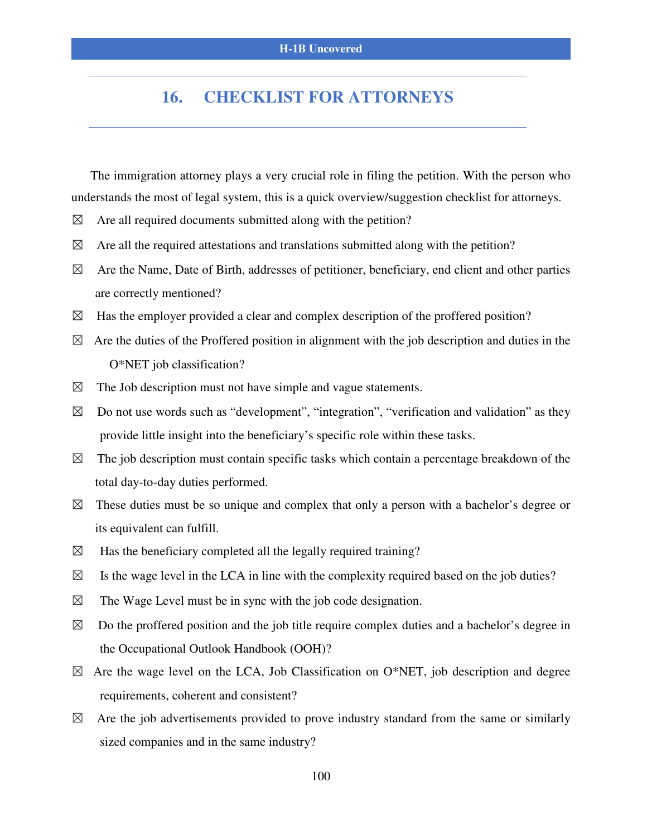## **16. CHECKLIST FOR ATTORNEYS**

The immigration attorney plays a very crucial role in filing the petition. With the person who understands the most of legal system, this is a quick overview/suggestion checklist for attorneys.

- $\boxtimes$  Are all required documents submitted along with the petition?
- $\boxtimes$  Are all the required attestations and translations submitted along with the petition?
- $\boxtimes$  Are the Name, Date of Birth, addresses of petitioner, beneficiary, end client and other parties are correctly mentioned?
- $\boxtimes$  Has the employer provided a clear and complex description of the proffered position?
- $\boxtimes$  Are the duties of the Proffered position in alignment with the job description and duties in the O\*NET job classification?
- $\boxtimes$  The Job description must not have simple and vague statements.
- $\boxtimes$  Do not use words such as "development", "integration", "verification and validation" as they provide little insight into the beneficiary's specific role within these tasks.
- $\boxtimes$  The job description must contain specific tasks which contain a percentage breakdown of the total day-to-day duties performed.
- $\boxtimes$  These duties must be so unique and complex that only a person with a bachelor's degree or its equivalent can fulfill.
- $\boxtimes$  Has the beneficiary completed all the legally required training?
- $\boxtimes$  Is the wage level in the LCA in line with the complexity required based on the job duties?
- $\boxtimes$  The Wage Level must be in sync with the job code designation.
- $\boxtimes$  Do the proffered position and the job title require complex duties and a bachelor's degree in the Occupational Outlook Handbook (OOH)?
- $\boxtimes$  Are the wage level on the LCA, Job Classification on O\*NET, job description and degree requirements, coherent and consistent?
- $\boxtimes$  Are the job advertisements provided to prove industry standard from the same or similarly sized companies and in the same industry?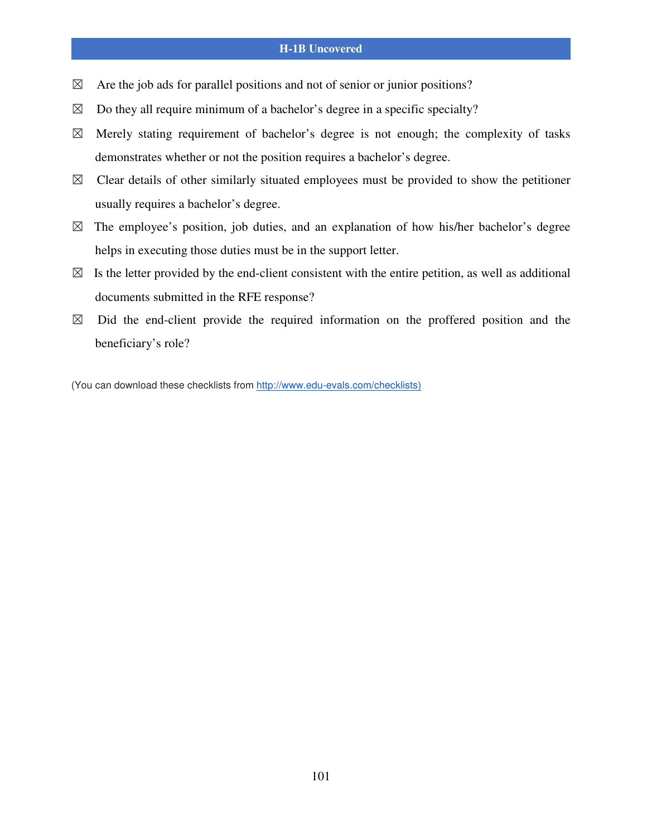#### **H-1B Uncovered**

- $\boxtimes$  Are the job ads for parallel positions and not of senior or junior positions?
- $\boxtimes$  Do they all require minimum of a bachelor's degree in a specific specialty?
- $\boxtimes$  Merely stating requirement of bachelor's degree is not enough; the complexity of tasks demonstrates whether or not the position requires a bachelor's degree.
- $\boxtimes$  Clear details of other similarly situated employees must be provided to show the petitioner usually requires a bachelor's degree.
- $\boxtimes$  The employee's position, job duties, and an explanation of how his/her bachelor's degree helps in executing those duties must be in the support letter.
- $\boxtimes$  Is the letter provided by the end-client consistent with the entire petition, as well as additional documents submitted in the RFE response?
- $\boxtimes$  Did the end-client provide the required information on the proffered position and the beneficiary's role?

(You can download these checklists from http://www.edu-evals.com/checklists)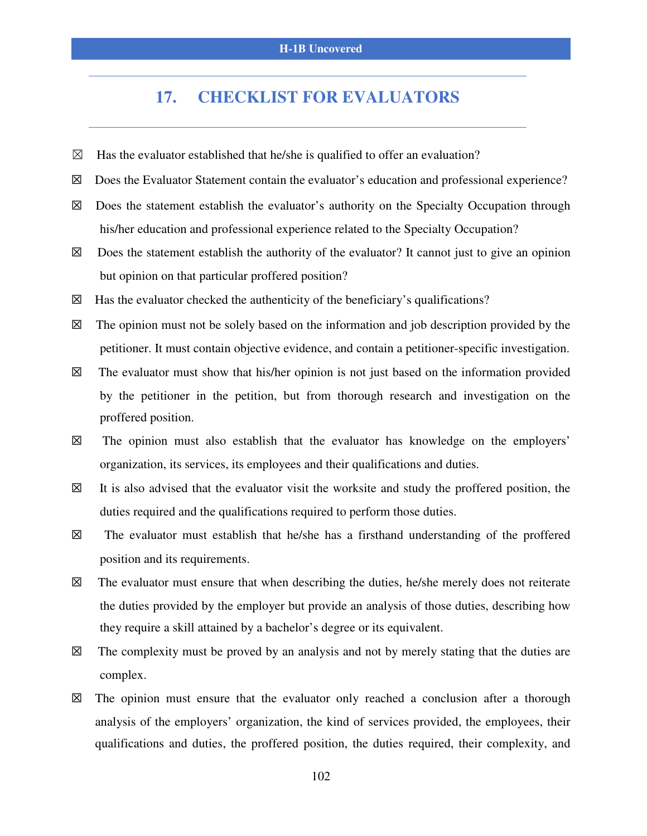### **17. CHECKLIST FOR EVALUATORS**

- $\boxtimes$  Has the evaluator established that he/she is qualified to offer an evaluation?
- ☒ Does the Evaluator Statement contain the evaluator's education and professional experience?
- $\boxtimes$  Does the statement establish the evaluator's authority on the Specialty Occupation through his/her education and professional experience related to the Specialty Occupation?
- $\boxtimes$  Does the statement establish the authority of the evaluator? It cannot just to give an opinion but opinion on that particular proffered position?
- $\boxtimes$  Has the evaluator checked the authenticity of the beneficiary's qualifications?
- $\boxtimes$  The opinion must not be solely based on the information and job description provided by the petitioner. It must contain objective evidence, and contain a petitioner-specific investigation.
- $\boxtimes$  The evaluator must show that his/her opinion is not just based on the information provided by the petitioner in the petition, but from thorough research and investigation on the proffered position.
- ☒ The opinion must also establish that the evaluator has knowledge on the employers' organization, its services, its employees and their qualifications and duties.
- $\boxtimes$  It is also advised that the evaluator visit the worksite and study the proffered position, the duties required and the qualifications required to perform those duties.
- $\boxtimes$  The evaluator must establish that he/she has a firsthand understanding of the proffered position and its requirements.
- $\boxtimes$  The evaluator must ensure that when describing the duties, he/she merely does not reiterate the duties provided by the employer but provide an analysis of those duties, describing how they require a skill attained by a bachelor's degree or its equivalent.
- $\boxtimes$  The complexity must be proved by an analysis and not by merely stating that the duties are complex.
- $\boxtimes$  The opinion must ensure that the evaluator only reached a conclusion after a thorough analysis of the employers' organization, the kind of services provided, the employees, their qualifications and duties, the proffered position, the duties required, their complexity, and